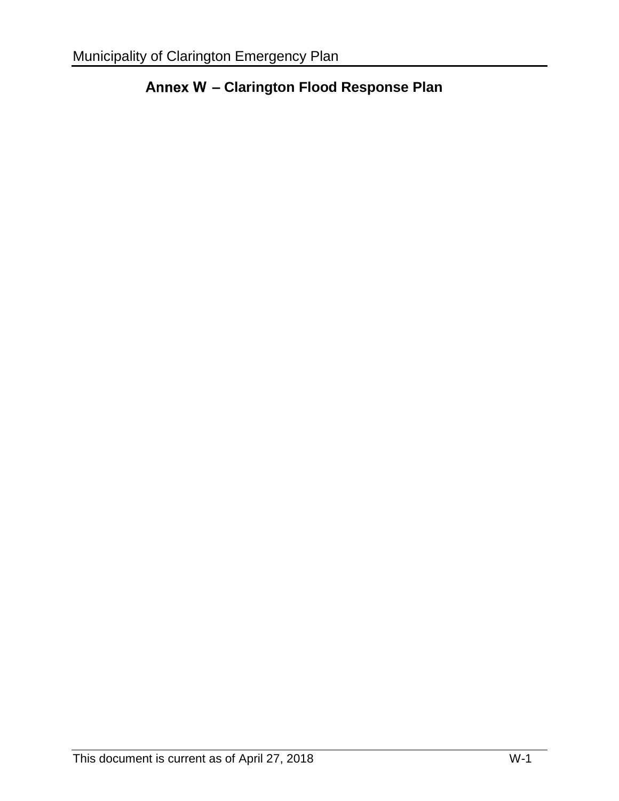# **– Clarington Flood Response Plan**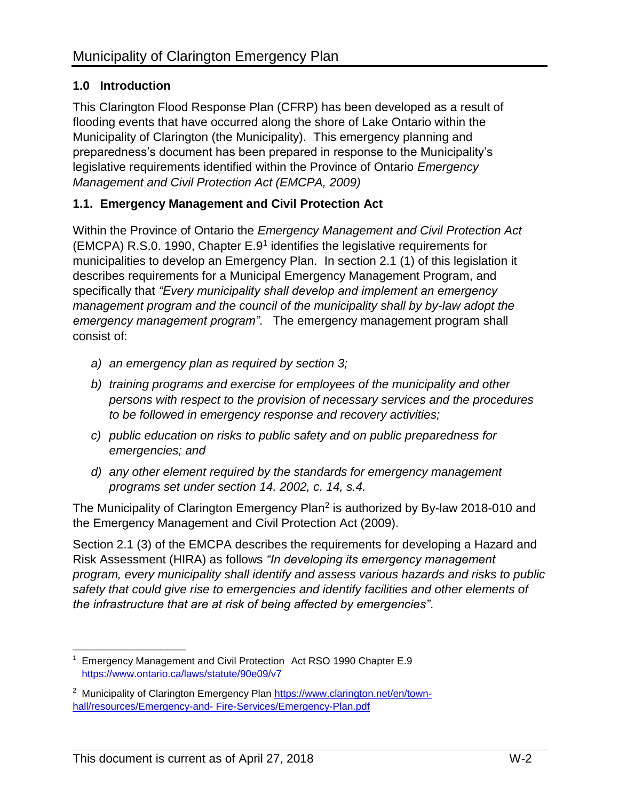# **1.0 Introduction**

This Clarington Flood Response Plan (CFRP) has been developed as a result of flooding events that have occurred along the shore of Lake Ontario within the Municipality of Clarington (the Municipality). This emergency planning and preparedness's document has been prepared in response to the Municipality's legislative requirements identified within the Province of Ontario *Emergency Management and Civil Protection Act (EMCPA, 2009)*

## **1.1. Emergency Management and Civil Protection Act**

Within the Province of Ontario the *Emergency Management and Civil Protection Act* (EMCPA) R.S.0. 1990, Chapter E.9<sup>1</sup> identifies the legislative requirements for municipalities to develop an Emergency Plan. In section 2.1 (1) of this legislation it describes requirements for a Municipal Emergency Management Program, and specifically that *"Every municipality shall develop and implement an emergency management program and the council of the municipality shall by by-law adopt the emergency management program"*. The emergency management program shall consist of:

- *a) an emergency plan as required by section 3;*
- *b) training programs and exercise for employees of the municipality and other persons with respect to the provision of necessary services and the procedures to be followed in emergency response and recovery activities;*
- *c) public education on risks to public safety and on public preparedness for emergencies; and*
- *d) any other element required by the standards for emergency management programs set under section 14. 2002, c. 14, s.4.*

The Municipality of Clarington Emergency Plan<sup>2</sup> is authorized by By-law 2018-010 and the Emergency Management and Civil Protection Act (2009).

Section 2.1 (3) of the EMCPA describes the requirements for developing a Hazard and Risk Assessment (HIRA) as follows *"In developing its emergency management program, every municipality shall identify and assess various hazards and risks to public safety that could give rise to emergencies and identify facilities and other elements of the infrastructure that are at risk of being affected by emergencies"*.

\_\_\_\_\_\_\_\_\_\_\_\_\_\_\_\_\_\_\_\_\_\_\_\_\_\_\_\_\_\_\_

<sup>1</sup>Emergency Management and Civil Protection Act RSO 1990 Chapter E.9 https:/[/www.ontario.ca/laws/statute/90e09/v7](http://www.ontario.ca/laws/statute/90e09/v7)

<sup>&</sup>lt;sup>2</sup> Municipality of Clarington Emergency Plan https:/[/www.clarington.net/en/town](http://www.clarington.net/en/town-hall/resources/Emergency-and-)[hall/resources/Emergency-and-](http://www.clarington.net/en/town-hall/resources/Emergency-and-) Fire-Services/Emergency-Plan.pdf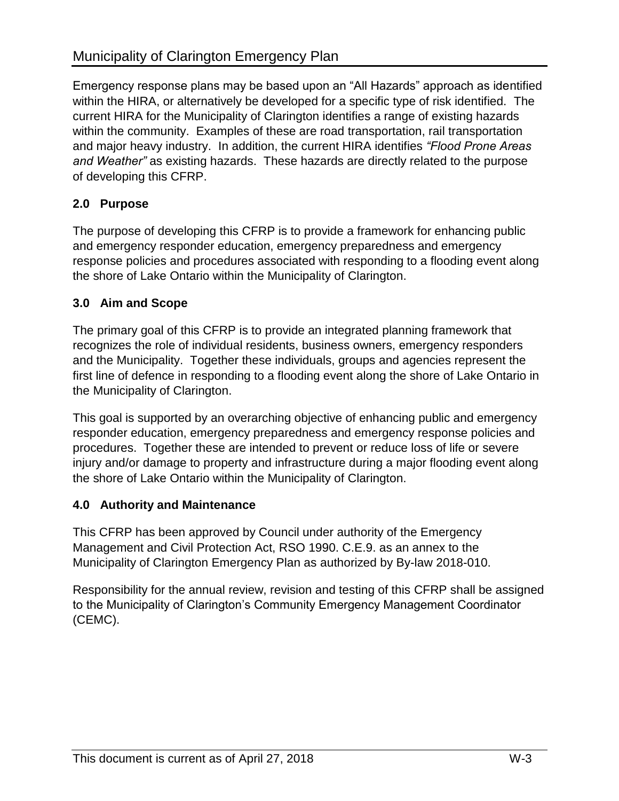Emergency response plans may be based upon an "All Hazards" approach as identified within the HIRA, or alternatively be developed for a specific type of risk identified. The current HIRA for the Municipality of Clarington identifies a range of existing hazards within the community. Examples of these are road transportation, rail transportation and major heavy industry. In addition, the current HIRA identifies *"Flood Prone Areas and Weather"* as existing hazards. These hazards are directly related to the purpose of developing this CFRP.

## **2.0 Purpose**

The purpose of developing this CFRP is to provide a framework for enhancing public and emergency responder education, emergency preparedness and emergency response policies and procedures associated with responding to a flooding event along the shore of Lake Ontario within the Municipality of Clarington.

#### **3.0 Aim and Scope**

The primary goal of this CFRP is to provide an integrated planning framework that recognizes the role of individual residents, business owners, emergency responders and the Municipality. Together these individuals, groups and agencies represent the first line of defence in responding to a flooding event along the shore of Lake Ontario in the Municipality of Clarington.

This goal is supported by an overarching objective of enhancing public and emergency responder education, emergency preparedness and emergency response policies and procedures. Together these are intended to prevent or reduce loss of life or severe injury and/or damage to property and infrastructure during a major flooding event along the shore of Lake Ontario within the Municipality of Clarington.

#### **4.0 Authority and Maintenance**

This CFRP has been approved by Council under authority of the Emergency Management and Civil Protection Act, RSO 1990. C.E.9. as an annex to the Municipality of Clarington Emergency Plan as authorized by By-law 2018-010.

Responsibility for the annual review, revision and testing of this CFRP shall be assigned to the Municipality of Clarington's Community Emergency Management Coordinator (CEMC).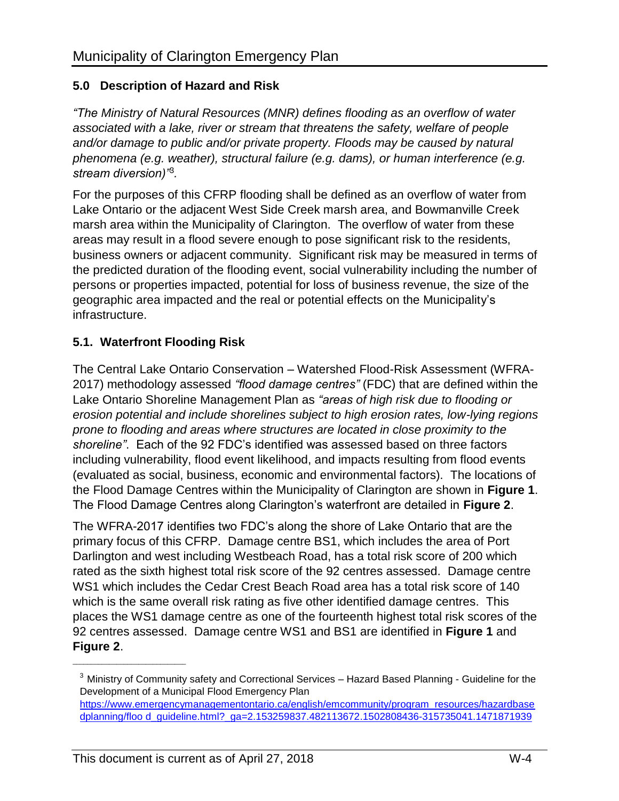## **5.0 Description of Hazard and Risk**

*"The Ministry of Natural Resources (MNR) defines flooding as an overflow of water associated with a lake, river or stream that threatens the safety, welfare of people*  and/or damage to public and/or private property. Floods may be caused by natural *phenomena (e.g. weather), structural failure (e.g. dams), or human interference (e.g. stream diversion)"*<sup>3</sup> *.*

For the purposes of this CFRP flooding shall be defined as an overflow of water from Lake Ontario or the adjacent West Side Creek marsh area, and Bowmanville Creek marsh area within the Municipality of Clarington. The overflow of water from these areas may result in a flood severe enough to pose significant risk to the residents, business owners or adjacent community. Significant risk may be measured in terms of the predicted duration of the flooding event, social vulnerability including the number of persons or properties impacted, potential for loss of business revenue, the size of the geographic area impacted and the real or potential effects on the Municipality's infrastructure.

## **5.1. Waterfront Flooding Risk**

The Central Lake Ontario Conservation – Watershed Flood-Risk Assessment (WFRA-2017) methodology assessed *"flood damage centres"* (FDC) that are defined within the Lake Ontario Shoreline Management Plan as *"areas of high risk due to flooding or erosion potential and include shorelines subject to high erosion rates, low-lying regions prone to flooding and areas where structures are located in close proximity to the shoreline"*. Each of the 92 FDC's identified was assessed based on three factors including vulnerability, flood event likelihood, and impacts resulting from flood events (evaluated as social, business, economic and environmental factors). The locations of the Flood Damage Centres within the Municipality of Clarington are shown in **Figure 1**. The Flood Damage Centres along Clarington's waterfront are detailed in **Figure 2**.

The WFRA-2017 identifies two FDC's along the shore of Lake Ontario that are the primary focus of this CFRP. Damage centre BS1, which includes the area of Port Darlington and west including Westbeach Road, has a total risk score of 200 which rated as the sixth highest total risk score of the 92 centres assessed. Damage centre WS1 which includes the Cedar Crest Beach Road area has a total risk score of 140 which is the same overall risk rating as five other identified damage centres. This places the WS1 damage centre as one of the fourteenth highest total risk scores of the 92 centres assessed. Damage centre WS1 and BS1 are identified in **Figure 1** and **Figure 2**.

\_\_\_\_\_\_\_\_\_\_\_\_\_\_\_\_\_\_\_\_\_\_\_\_\_\_\_\_\_\_\_

 $3$  Ministry of Community safety and Correctional Services – Hazard Based Planning - Guideline for the Development of a Municipal Flood Emergency Plan

https:/[/www.emergencymanagementontario.ca/english/emcommunity/program\\_resources/hazardbase](http://www.emergencymanagementontario.ca/english/emcommunity/program_resources/hazardbasedplanning/floo) [dplanning/floo](http://www.emergencymanagementontario.ca/english/emcommunity/program_resources/hazardbasedplanning/floo) d\_guideline.html?\_ga=2.153259837.482113672.1502808436-315735041.1471871939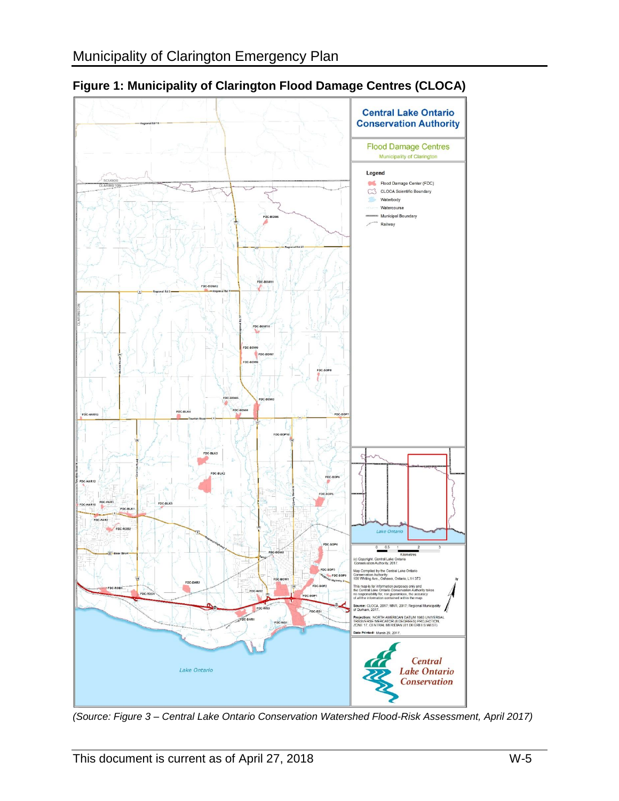

**Figure 1: Municipality of Clarington Flood Damage Centres (CLOCA)** 

*(Source: Figure 3 – Central Lake Ontario Conservation Watershed Flood-Risk Assessment, April 2017)*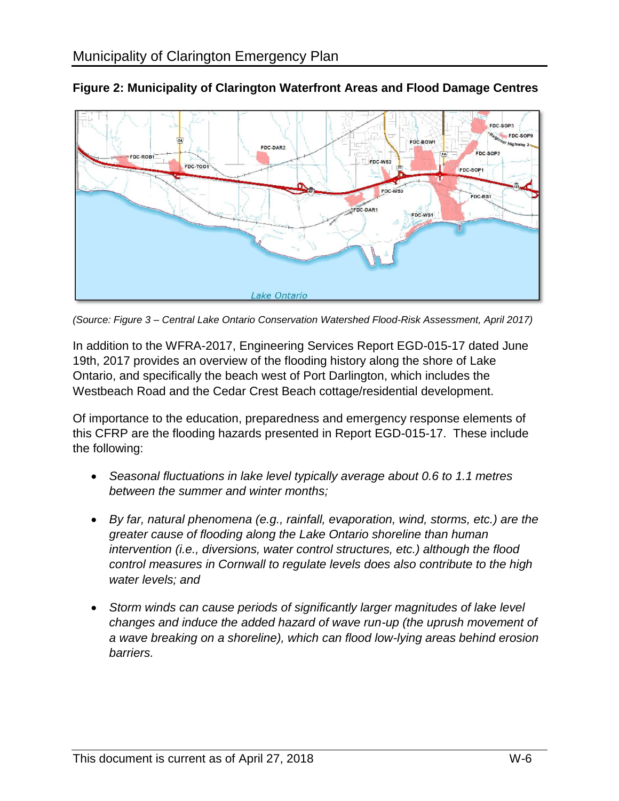

**Figure 2: Municipality of Clarington Waterfront Areas and Flood Damage Centres** 

*(Source: Figure 3 – Central Lake Ontario Conservation Watershed Flood-Risk Assessment, April 2017)* 

In addition to the WFRA-2017, Engineering Services Report EGD-015-17 dated June 19th, 2017 provides an overview of the flooding history along the shore of Lake Ontario, and specifically the beach west of Port Darlington, which includes the Westbeach Road and the Cedar Crest Beach cottage/residential development.

Of importance to the education, preparedness and emergency response elements of this CFRP are the flooding hazards presented in Report EGD-015-17. These include the following:

- *Seasonal fluctuations in lake level typically average about 0.6 to 1.1 metres between the summer and winter months;*
- *By far, natural phenomena (e.g., rainfall, evaporation, wind, storms, etc.) are the greater cause of flooding along the Lake Ontario shoreline than human intervention (i.e., diversions, water control structures, etc.) although the flood control measures in Cornwall to regulate levels does also contribute to the high water levels; and*
- *Storm winds can cause periods of significantly larger magnitudes of lake level changes and induce the added hazard of wave run-up (the uprush movement of a wave breaking on a shoreline), which can flood low-lying areas behind erosion barriers.*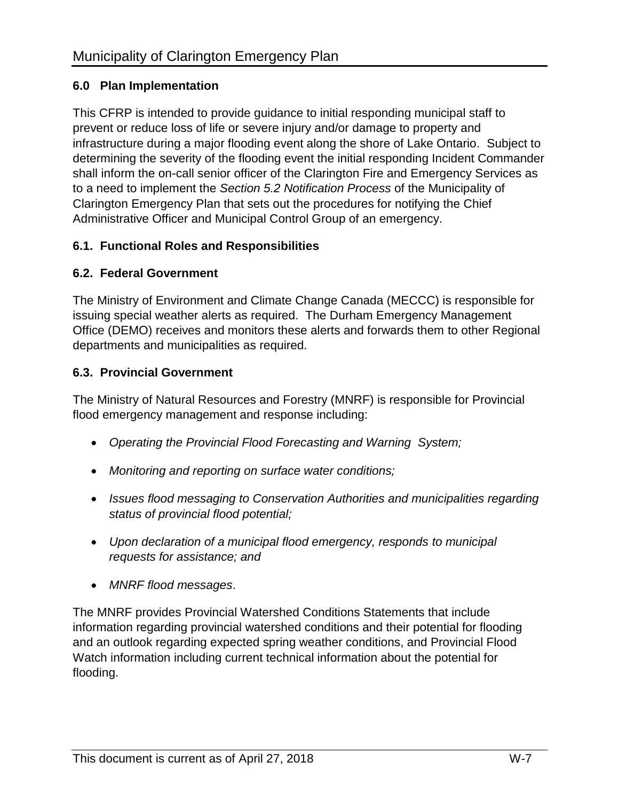## **6.0 Plan Implementation**

This CFRP is intended to provide guidance to initial responding municipal staff to prevent or reduce loss of life or severe injury and/or damage to property and infrastructure during a major flooding event along the shore of Lake Ontario. Subject to determining the severity of the flooding event the initial responding Incident Commander shall inform the on-call senior officer of the Clarington Fire and Emergency Services as to a need to implement the *Section 5.2 Notification Process* of the Municipality of Clarington Emergency Plan that sets out the procedures for notifying the Chief Administrative Officer and Municipal Control Group of an emergency.

## **6.1. Functional Roles and Responsibilities**

## **6.2. Federal Government**

The Ministry of Environment and Climate Change Canada (MECCC) is responsible for issuing special weather alerts as required. The Durham Emergency Management Office (DEMO) receives and monitors these alerts and forwards them to other Regional departments and municipalities as required.

## **6.3. Provincial Government**

The Ministry of Natural Resources and Forestry (MNRF) is responsible for Provincial flood emergency management and response including:

- *Operating the Provincial Flood Forecasting and Warning System;*
- *Monitoring and reporting on surface water conditions;*
- *Issues flood messaging to Conservation Authorities and municipalities regarding status of provincial flood potential;*
- *Upon declaration of a municipal flood emergency, responds to municipal requests for assistance; and*
- *MNRF flood messages*.

The MNRF provides Provincial Watershed Conditions Statements that include information regarding provincial watershed conditions and their potential for flooding and an outlook regarding expected spring weather conditions, and Provincial Flood Watch information including current technical information about the potential for flooding.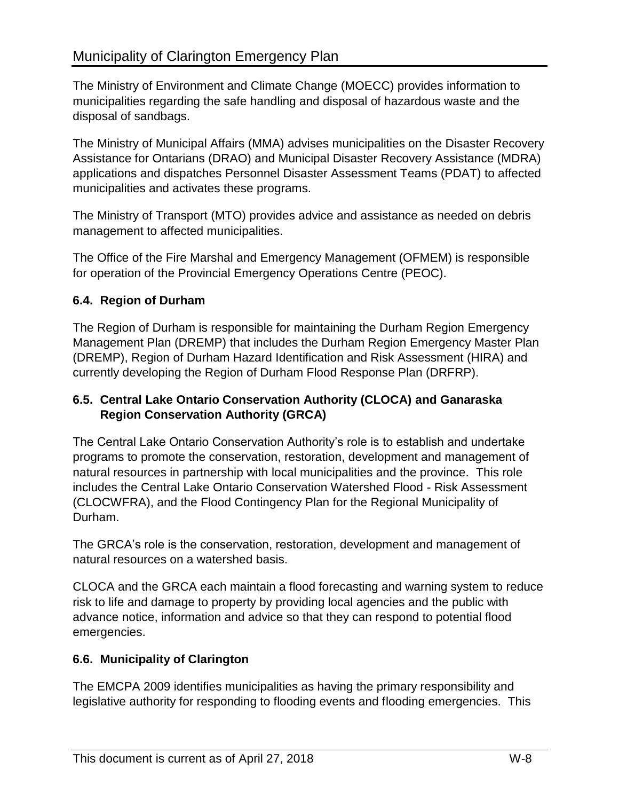The Ministry of Environment and Climate Change (MOECC) provides information to municipalities regarding the safe handling and disposal of hazardous waste and the disposal of sandbags.

The Ministry of Municipal Affairs (MMA) advises municipalities on the Disaster Recovery Assistance for Ontarians (DRAO) and Municipal Disaster Recovery Assistance (MDRA) applications and dispatches Personnel Disaster Assessment Teams (PDAT) to affected municipalities and activates these programs.

The Ministry of Transport (MTO) provides advice and assistance as needed on debris management to affected municipalities.

The Office of the Fire Marshal and Emergency Management (OFMEM) is responsible for operation of the Provincial Emergency Operations Centre (PEOC).

## **6.4. Region of Durham**

The Region of Durham is responsible for maintaining the Durham Region Emergency Management Plan (DREMP) that includes the Durham Region Emergency Master Plan (DREMP), Region of Durham Hazard Identification and Risk Assessment (HIRA) and currently developing the Region of Durham Flood Response Plan (DRFRP).

#### **6.5. Central Lake Ontario Conservation Authority (CLOCA) and Ganaraska Region Conservation Authority (GRCA)**

The Central Lake Ontario Conservation Authority's role is to establish and undertake programs to promote the conservation, restoration, development and management of natural resources in partnership with local municipalities and the province. This role includes the Central Lake Ontario Conservation Watershed Flood - Risk Assessment (CLOCWFRA), and the Flood Contingency Plan for the Regional Municipality of Durham.

The GRCA's role is the conservation, restoration, development and management of natural resources on a watershed basis.

CLOCA and the GRCA each maintain a flood forecasting and warning system to reduce risk to life and damage to property by providing local agencies and the public with advance notice, information and advice so that they can respond to potential flood emergencies.

#### **6.6. Municipality of Clarington**

The EMCPA 2009 identifies municipalities as having the primary responsibility and legislative authority for responding to flooding events and flooding emergencies. This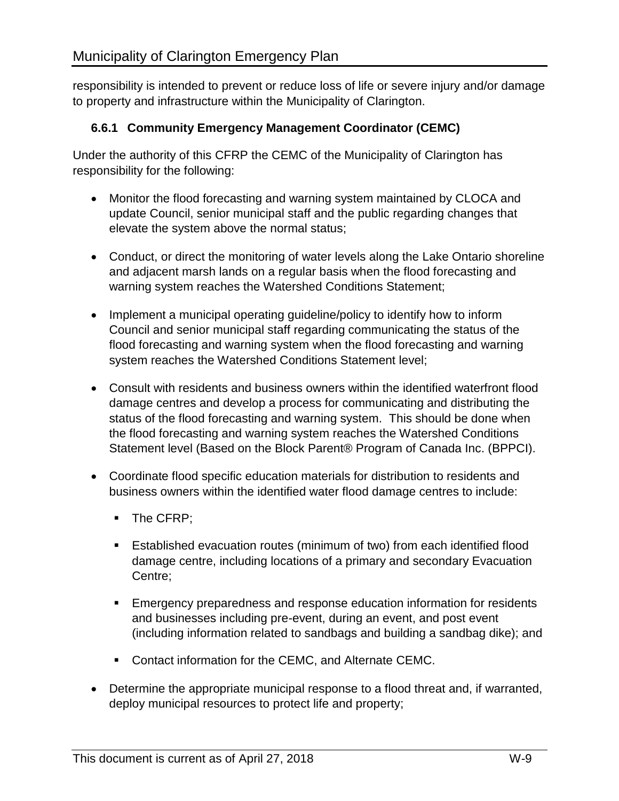responsibility is intended to prevent or reduce loss of life or severe injury and/or damage to property and infrastructure within the Municipality of Clarington.

## **6.6.1 Community Emergency Management Coordinator (CEMC)**

Under the authority of this CFRP the CEMC of the Municipality of Clarington has responsibility for the following:

- Monitor the flood forecasting and warning system maintained by CLOCA and update Council, senior municipal staff and the public regarding changes that elevate the system above the normal status;
- Conduct, or direct the monitoring of water levels along the Lake Ontario shoreline and adjacent marsh lands on a regular basis when the flood forecasting and warning system reaches the Watershed Conditions Statement;
- Implement a municipal operating guideline/policy to identify how to inform Council and senior municipal staff regarding communicating the status of the flood forecasting and warning system when the flood forecasting and warning system reaches the Watershed Conditions Statement level;
- Consult with residents and business owners within the identified waterfront flood damage centres and develop a process for communicating and distributing the status of the flood forecasting and warning system. This should be done when the flood forecasting and warning system reaches the Watershed Conditions Statement level (Based on the Block Parent® Program of Canada Inc. (BPPCI).
- Coordinate flood specific education materials for distribution to residents and business owners within the identified water flood damage centres to include:
	- The CFRP;
	- Established evacuation routes (minimum of two) from each identified flood damage centre, including locations of a primary and secondary Evacuation Centre;
	- **Emergency preparedness and response education information for residents** and businesses including pre-event, during an event, and post event (including information related to sandbags and building a sandbag dike); and
	- **Contact information for the CEMC, and Alternate CEMC.**
- Determine the appropriate municipal response to a flood threat and, if warranted, deploy municipal resources to protect life and property;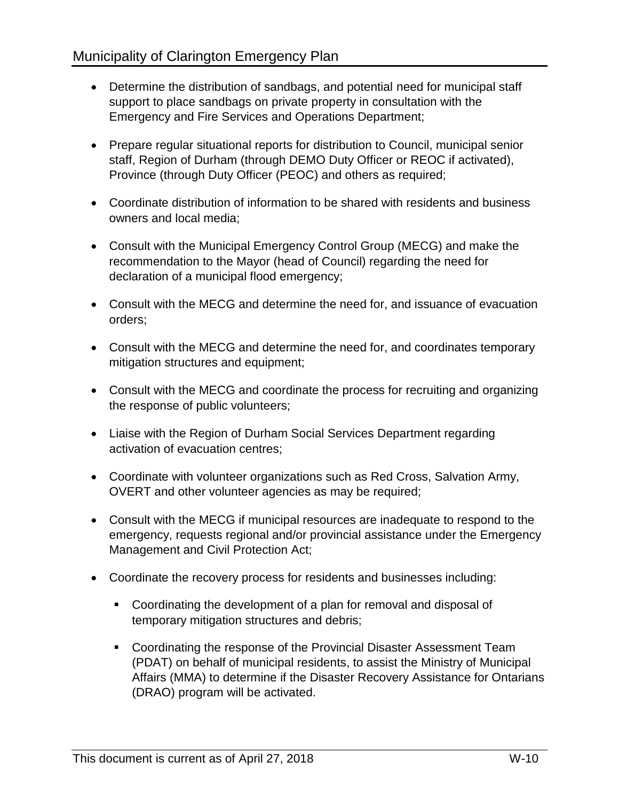- Determine the distribution of sandbags, and potential need for municipal staff support to place sandbags on private property in consultation with the Emergency and Fire Services and Operations Department;
- Prepare regular situational reports for distribution to Council, municipal senior staff, Region of Durham (through DEMO Duty Officer or REOC if activated), Province (through Duty Officer (PEOC) and others as required;
- Coordinate distribution of information to be shared with residents and business owners and local media;
- Consult with the Municipal Emergency Control Group (MECG) and make the recommendation to the Mayor (head of Council) regarding the need for declaration of a municipal flood emergency;
- Consult with the MECG and determine the need for, and issuance of evacuation orders;
- Consult with the MECG and determine the need for, and coordinates temporary mitigation structures and equipment;
- Consult with the MECG and coordinate the process for recruiting and organizing the response of public volunteers;
- Liaise with the Region of Durham Social Services Department regarding activation of evacuation centres;
- Coordinate with volunteer organizations such as Red Cross, Salvation Army, OVERT and other volunteer agencies as may be required;
- Consult with the MECG if municipal resources are inadequate to respond to the emergency, requests regional and/or provincial assistance under the Emergency Management and Civil Protection Act;
- Coordinate the recovery process for residents and businesses including:
	- Coordinating the development of a plan for removal and disposal of temporary mitigation structures and debris;
	- Coordinating the response of the Provincial Disaster Assessment Team (PDAT) on behalf of municipal residents, to assist the Ministry of Municipal Affairs (MMA) to determine if the Disaster Recovery Assistance for Ontarians (DRAO) program will be activated.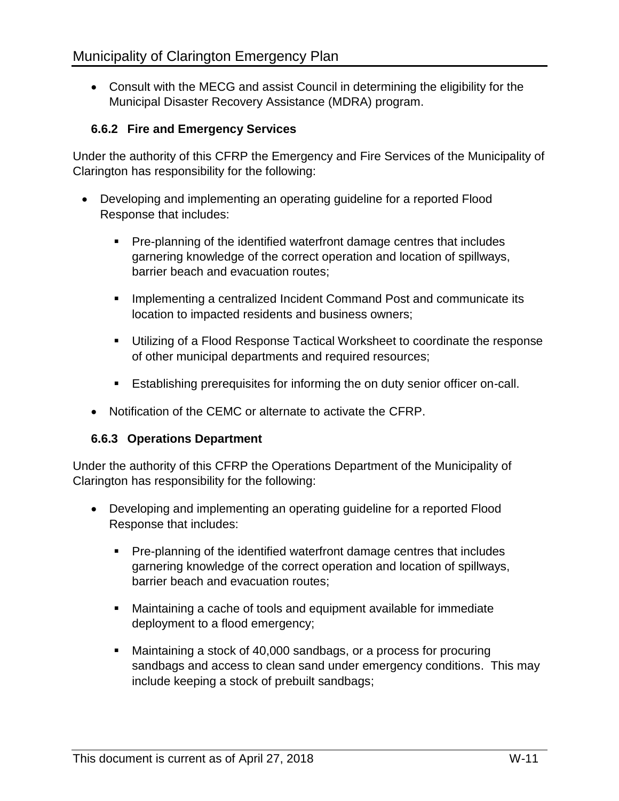Consult with the MECG and assist Council in determining the eligibility for the Municipal Disaster Recovery Assistance (MDRA) program.

## **6.6.2 Fire and Emergency Services**

Under the authority of this CFRP the Emergency and Fire Services of the Municipality of Clarington has responsibility for the following:

- Developing and implementing an operating guideline for a reported Flood Response that includes:
	- Pre-planning of the identified waterfront damage centres that includes garnering knowledge of the correct operation and location of spillways, barrier beach and evacuation routes;
	- **IMPLEMENTIFY IMPLEM** 1 centralized Incident Command Post and communicate its location to impacted residents and business owners;
	- **Utilizing of a Flood Response Tactical Worksheet to coordinate the response** of other municipal departments and required resources;
	- **Establishing prerequisites for informing the on duty senior officer on-call.**
	- Notification of the CEMC or alternate to activate the CFRP.

#### **6.6.3 Operations Department**

Under the authority of this CFRP the Operations Department of the Municipality of Clarington has responsibility for the following:

- Developing and implementing an operating guideline for a reported Flood Response that includes:
	- Pre-planning of the identified waterfront damage centres that includes garnering knowledge of the correct operation and location of spillways, barrier beach and evacuation routes;
	- Maintaining a cache of tools and equipment available for immediate deployment to a flood emergency;
	- Maintaining a stock of 40,000 sandbags, or a process for procuring sandbags and access to clean sand under emergency conditions. This may include keeping a stock of prebuilt sandbags;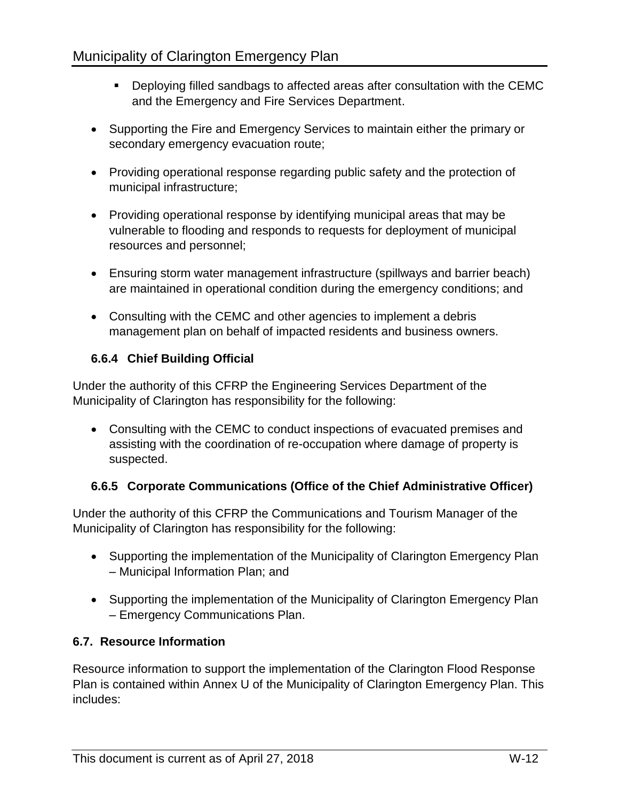- Deploying filled sandbags to affected areas after consultation with the CEMC and the Emergency and Fire Services Department.
- Supporting the Fire and Emergency Services to maintain either the primary or secondary emergency evacuation route;
- Providing operational response regarding public safety and the protection of municipal infrastructure;
- Providing operational response by identifying municipal areas that may be vulnerable to flooding and responds to requests for deployment of municipal resources and personnel;
- Ensuring storm water management infrastructure (spillways and barrier beach) are maintained in operational condition during the emergency conditions; and
- Consulting with the CEMC and other agencies to implement a debris management plan on behalf of impacted residents and business owners.

# **6.6.4 Chief Building Official**

Under the authority of this CFRP the Engineering Services Department of the Municipality of Clarington has responsibility for the following:

 Consulting with the CEMC to conduct inspections of evacuated premises and assisting with the coordination of re-occupation where damage of property is suspected.

# **6.6.5 Corporate Communications (Office of the Chief Administrative Officer)**

Under the authority of this CFRP the Communications and Tourism Manager of the Municipality of Clarington has responsibility for the following:

- Supporting the implementation of the Municipality of Clarington Emergency Plan – Municipal Information Plan; and
- Supporting the implementation of the Municipality of Clarington Emergency Plan – Emergency Communications Plan.

# **6.7. Resource Information**

Resource information to support the implementation of the Clarington Flood Response Plan is contained within Annex U of the Municipality of Clarington Emergency Plan. This includes: